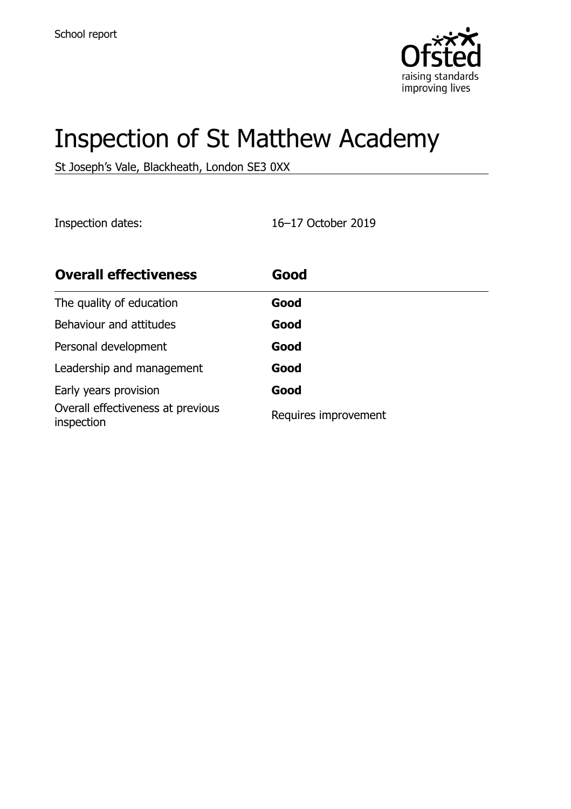

# Inspection of St Matthew Academy

St Joseph's Vale, Blackheath, London SE3 0XX

Inspection dates: 16–17 October 2019

| <b>Overall effectiveness</b>                    | Good                 |
|-------------------------------------------------|----------------------|
| The quality of education                        | Good                 |
| Behaviour and attitudes                         | Good                 |
| Personal development                            | Good                 |
| Leadership and management                       | Good                 |
| Early years provision                           | Good                 |
| Overall effectiveness at previous<br>inspection | Requires improvement |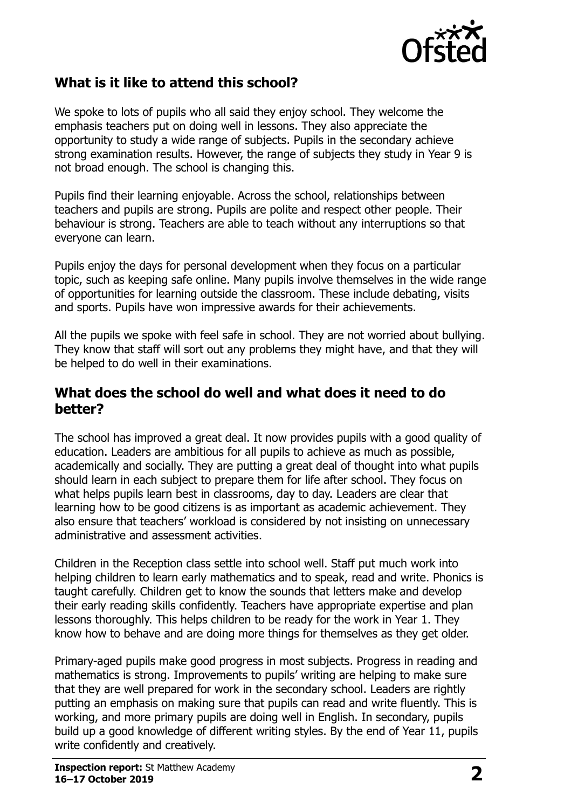

## **What is it like to attend this school?**

We spoke to lots of pupils who all said they enjoy school. They welcome the emphasis teachers put on doing well in lessons. They also appreciate the opportunity to study a wide range of subjects. Pupils in the secondary achieve strong examination results. However, the range of subjects they study in Year 9 is not broad enough. The school is changing this.

Pupils find their learning enjoyable. Across the school, relationships between teachers and pupils are strong. Pupils are polite and respect other people. Their behaviour is strong. Teachers are able to teach without any interruptions so that everyone can learn.

Pupils enjoy the days for personal development when they focus on a particular topic, such as keeping safe online. Many pupils involve themselves in the wide range of opportunities for learning outside the classroom. These include debating, visits and sports. Pupils have won impressive awards for their achievements.

All the pupils we spoke with feel safe in school. They are not worried about bullying. They know that staff will sort out any problems they might have, and that they will be helped to do well in their examinations.

### **What does the school do well and what does it need to do better?**

The school has improved a great deal. It now provides pupils with a good quality of education. Leaders are ambitious for all pupils to achieve as much as possible, academically and socially. They are putting a great deal of thought into what pupils should learn in each subject to prepare them for life after school. They focus on what helps pupils learn best in classrooms, day to day. Leaders are clear that learning how to be good citizens is as important as academic achievement. They also ensure that teachers' workload is considered by not insisting on unnecessary administrative and assessment activities.

Children in the Reception class settle into school well. Staff put much work into helping children to learn early mathematics and to speak, read and write. Phonics is taught carefully. Children get to know the sounds that letters make and develop their early reading skills confidently. Teachers have appropriate expertise and plan lessons thoroughly. This helps children to be ready for the work in Year 1. They know how to behave and are doing more things for themselves as they get older.

Primary-aged pupils make good progress in most subjects. Progress in reading and mathematics is strong. Improvements to pupils' writing are helping to make sure that they are well prepared for work in the secondary school. Leaders are rightly putting an emphasis on making sure that pupils can read and write fluently. This is working, and more primary pupils are doing well in English. In secondary, pupils build up a good knowledge of different writing styles. By the end of Year 11, pupils write confidently and creatively.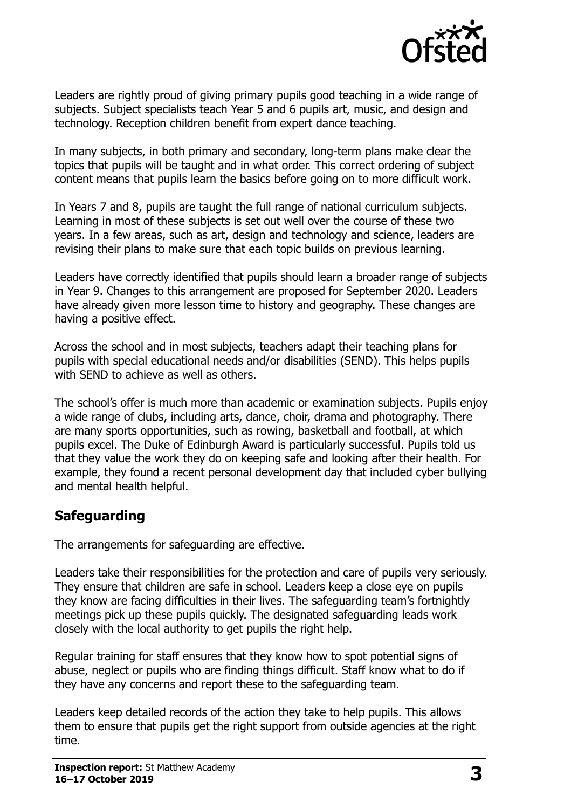

Leaders are rightly proud of giving primary pupils good teaching in a wide range of subjects. Subject specialists teach Year 5 and 6 pupils art, music, and design and technology. Reception children benefit from expert dance teaching.

In many subjects, in both primary and secondary, long-term plans make clear the topics that pupils will be taught and in what order. This correct ordering of subject content means that pupils learn the basics before going on to more difficult work.

In Years 7 and 8, pupils are taught the full range of national curriculum subjects. Learning in most of these subjects is set out well over the course of these two years. In a few areas, such as art, design and technology and science, leaders are revising their plans to make sure that each topic builds on previous learning.

Leaders have correctly identified that pupils should learn a broader range of subjects in Year 9. Changes to this arrangement are proposed for September 2020. Leaders have already given more lesson time to history and geography. These changes are having a positive effect.

Across the school and in most subjects, teachers adapt their teaching plans for pupils with special educational needs and/or disabilities (SEND). This helps pupils with SEND to achieve as well as others.

The school's offer is much more than academic or examination subjects. Pupils enjoy a wide range of clubs, including arts, dance, choir, drama and photography. There are many sports opportunities, such as rowing, basketball and football, at which pupils excel. The Duke of Edinburgh Award is particularly successful. Pupils told us that they value the work they do on keeping safe and looking after their health. For example, they found a recent personal development day that included cyber bullying and mental health helpful.

## **Safeguarding**

The arrangements for safeguarding are effective.

Leaders take their responsibilities for the protection and care of pupils very seriously. They ensure that children are safe in school. Leaders keep a close eye on pupils they know are facing difficulties in their lives. The safeguarding team's fortnightly meetings pick up these pupils quickly. The designated safeguarding leads work closely with the local authority to get pupils the right help.

Regular training for staff ensures that they know how to spot potential signs of abuse, neglect or pupils who are finding things difficult. Staff know what to do if they have any concerns and report these to the safeguarding team.

Leaders keep detailed records of the action they take to help pupils. This allows them to ensure that pupils get the right support from outside agencies at the right time.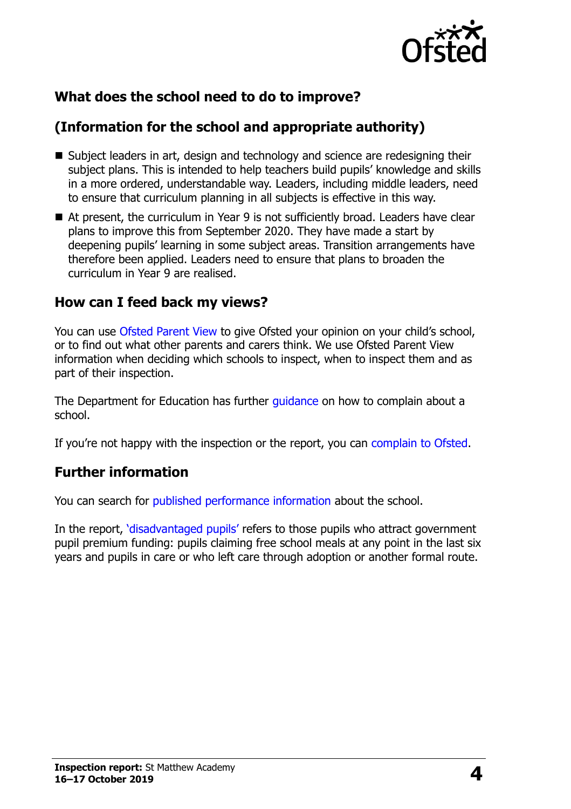

## **What does the school need to do to improve?**

## **(Information for the school and appropriate authority)**

- Subject leaders in art, design and technology and science are redesigning their subject plans. This is intended to help teachers build pupils' knowledge and skills in a more ordered, understandable way. Leaders, including middle leaders, need to ensure that curriculum planning in all subjects is effective in this way.
- At present, the curriculum in Year 9 is not sufficiently broad. Leaders have clear plans to improve this from September 2020. They have made a start by deepening pupils' learning in some subject areas. Transition arrangements have therefore been applied. Leaders need to ensure that plans to broaden the curriculum in Year 9 are realised.

### **How can I feed back my views?**

You can use [Ofsted Parent View](http://parentview.ofsted.gov.uk/) to give Ofsted your opinion on your child's school, or to find out what other parents and carers think. We use Ofsted Parent View information when deciding which schools to inspect, when to inspect them and as part of their inspection.

The Department for Education has further [guidance](http://www.gov.uk/complain-about-school) on how to complain about a school.

If you're not happy with the inspection or the report, you can [complain to Ofsted.](http://www.gov.uk/complain-ofsted-report)

#### **Further information**

You can search for [published performance information](http://www.compare-school-performance.service.gov.uk/) about the school.

In the report, '[disadvantaged pupils](http://www.gov.uk/guidance/pupil-premium-information-for-schools-and-alternative-provision-settings)' refers to those pupils who attract government pupil premium funding: pupils claiming free school meals at any point in the last six years and pupils in care or who left care through adoption or another formal route.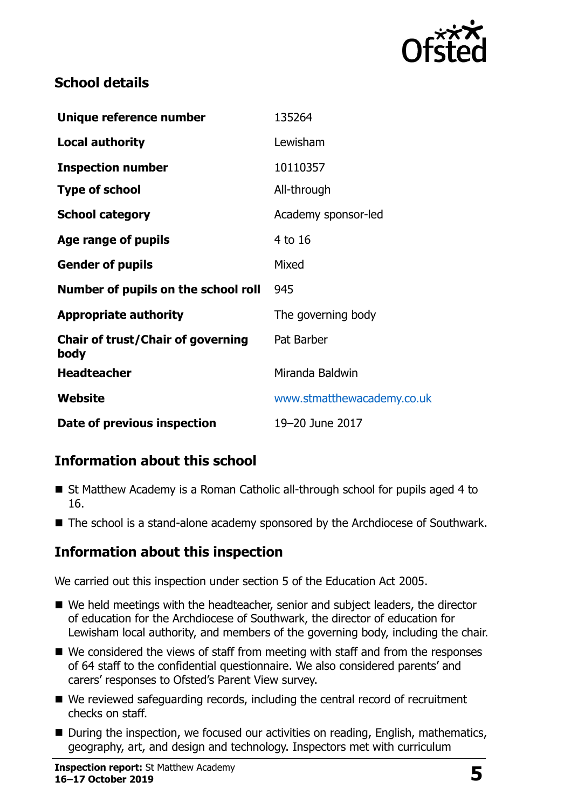

## **School details**

| Unique reference number                          | 135264                     |
|--------------------------------------------------|----------------------------|
| Local authority                                  | Lewisham                   |
| <b>Inspection number</b>                         | 10110357                   |
| <b>Type of school</b>                            | All-through                |
| <b>School category</b>                           | Academy sponsor-led        |
| Age range of pupils                              | 4 to 16                    |
| <b>Gender of pupils</b>                          | Mixed                      |
| Number of pupils on the school roll              | 945                        |
| <b>Appropriate authority</b>                     | The governing body         |
| <b>Chair of trust/Chair of governing</b><br>body | Pat Barber                 |
| <b>Headteacher</b>                               | Miranda Baldwin            |
| Website                                          | www.stmatthewacademy.co.uk |
| Date of previous inspection                      | 19-20 June 2017            |

## **Information about this school**

- St Matthew Academy is a Roman Catholic all-through school for pupils aged 4 to 16.
- The school is a stand-alone academy sponsored by the Archdiocese of Southwark.

## **Information about this inspection**

We carried out this inspection under section 5 of the Education Act 2005.

- We held meetings with the headteacher, senior and subject leaders, the director of education for the Archdiocese of Southwark, the director of education for Lewisham local authority, and members of the governing body, including the chair.
- We considered the views of staff from meeting with staff and from the responses of 64 staff to the confidential questionnaire. We also considered parents' and carers' responses to Ofsted's Parent View survey.
- We reviewed safeguarding records, including the central record of recruitment checks on staff.
- During the inspection, we focused our activities on reading, English, mathematics, geography, art, and design and technology. Inspectors met with curriculum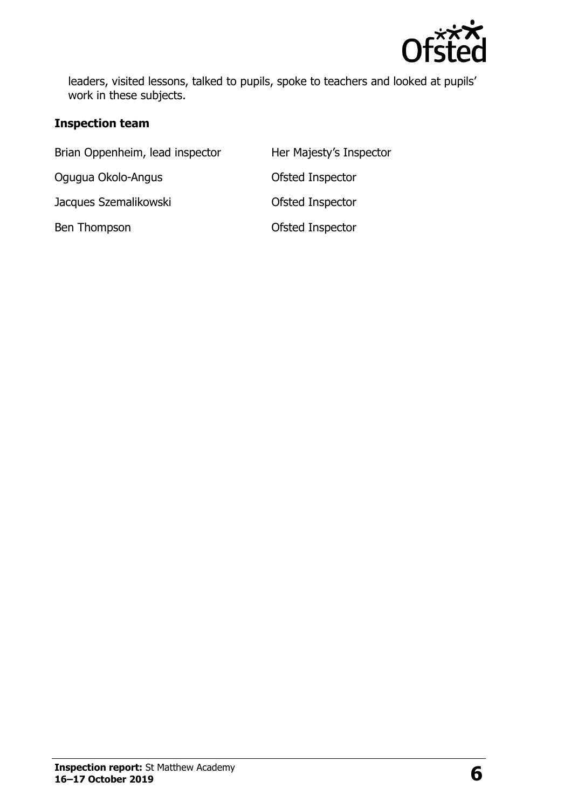

leaders, visited lessons, talked to pupils, spoke to teachers and looked at pupils' work in these subjects.

#### **Inspection team**

| Brian Oppenheim, lead inspector | Her Majesty's Inspector |
|---------------------------------|-------------------------|
| Ogugua Okolo-Angus              | Ofsted Inspector        |
| Jacques Szemalikowski           | Ofsted Inspector        |
| Ben Thompson                    | Ofsted Inspector        |